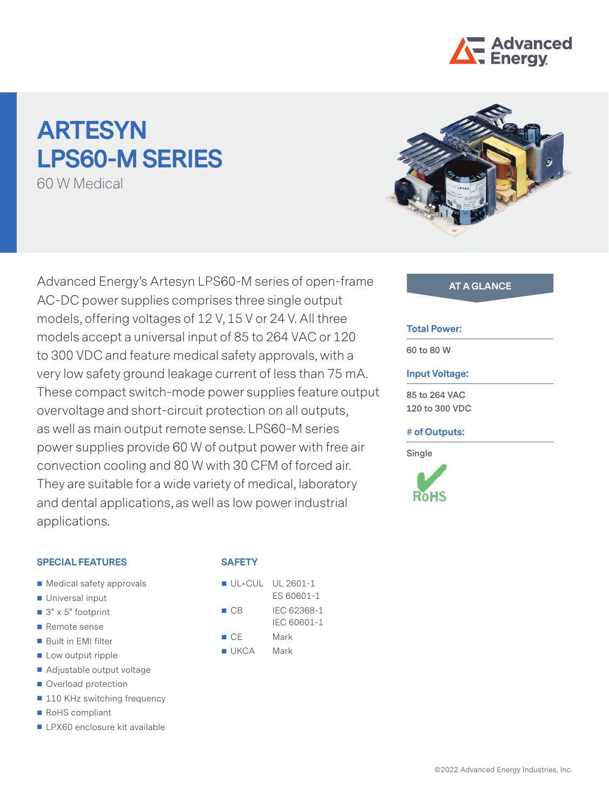

# **ARTESYN LPS60-M SERIES**

60 W Medical

Advanced Energy's Artesyn LPS60-M series of open-frame **AT A GLANCE** AC-DC power supplies comprises three single output models, offering voltages of 12 V, 15 V or 24 V. All three models accept a universal input of 85 to 264 VAC or 120 to 300 VDC and feature medical safety approvals, with a very low safety ground leakage current of less than 75 mA. These compact switch-mode power supplies feature output overvoltage and short-circuit protection on all outputs, as well as main output remote sense. LPS60-M series power supplies provide 60 W of output power with free air convection cooling and 80 W with 30 CFM of forced air. They are suitable for a wide variety of medical, laboratory and dental applications, as well as low power industrial applications.

# **SPECIAL FEATURES**

- Medical safety approvals
- **Universal input**
- $\Box$  3" x 5" footprint
- Remote sense
- **Built in EMI filter**
- **Low output ripple**
- Adjustable output voltage
- Overload protection
- 110 KHz switching frequency
- RoHS compliant
- **LPX60** enclosure kit available

### **SAFETY**

- $\blacksquare$  UL+CUL UL 2601-1 ES 60601-1 ■ CB IEC 62368-1 IEC 60601-1 ■ CE Mark
- **UKCA** Mark



#### **Total Power:**

**60 to 80 W**

#### **Input Voltage:**

**85 to 264 VAC 120 to 300 VDC**

#### **# of Outputs:**

**Single**

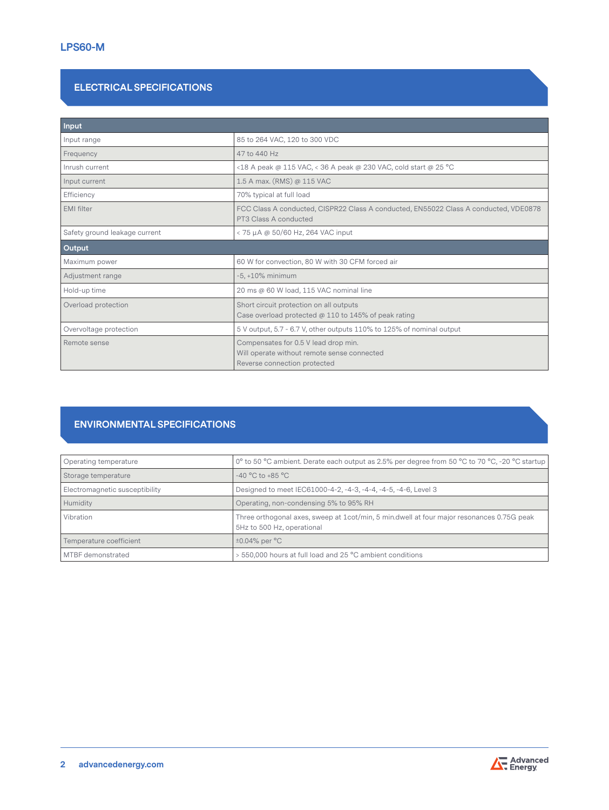# **ELECTRICAL SPECIFICATIONS**

| Input                         |                                                                                                                     |  |
|-------------------------------|---------------------------------------------------------------------------------------------------------------------|--|
| Input range                   | 85 to 264 VAC, 120 to 300 VDC                                                                                       |  |
| Frequency                     | 47 to 440 Hz                                                                                                        |  |
| Inrush current                | <18 A peak @ 115 VAC, < 36 A peak @ 230 VAC, cold start @ 25 °C                                                     |  |
| Input current                 | 1.5 A max. (RMS) @ 115 VAC                                                                                          |  |
| Efficiency                    | 70% typical at full load                                                                                            |  |
| <b>EMI</b> filter             | FCC Class A conducted, CISPR22 Class A conducted, EN55022 Class A conducted, VDE0878<br>PT3 Class A conducted       |  |
| Safety ground leakage current | < 75 μA @ 50/60 Hz, 264 VAC input                                                                                   |  |
| Output                        |                                                                                                                     |  |
| Maximum power                 | 60 W for convection, 80 W with 30 CFM forced air                                                                    |  |
| Adjustment range              | $-5, +10\%$ minimum                                                                                                 |  |
| Hold-up time                  | 20 ms @ 60 W load, 115 VAC nominal line                                                                             |  |
| Overload protection           | Short circuit protection on all outputs<br>Case overload protected @ 110 to 145% of peak rating                     |  |
| Overvoltage protection        | 5 V output, 5.7 - 6.7 V, other outputs 110% to 125% of nominal output                                               |  |
| Remote sense                  | Compensates for 0.5 V lead drop min.<br>Will operate without remote sense connected<br>Reverse connection protected |  |

# **ENVIRONMENTAL SPECIFICATIONS**

| Operating temperature          | 0° to 50 °C ambient. Derate each output as 2.5% per degree from 50 °C to 70 °C, -20 °C startup                          |
|--------------------------------|-------------------------------------------------------------------------------------------------------------------------|
| Storage temperature            | $-40 °C$ to $+85 °C$                                                                                                    |
| Electromagnetic susceptibility | Designed to meet IEC61000-4-2, -4-3, -4-4, -4-5, -4-6, Level 3                                                          |
| Humidity                       | Operating, non-condensing 5% to 95% RH                                                                                  |
| Vibration                      | Three orthogonal axes, sweep at 1cot/min, 5 min.dwell at four major resonances 0.75G peak<br>5Hz to 500 Hz, operational |
| Temperature coefficient        | $\pm 0.04\%$ per $\degree$ C                                                                                            |
| MTBF demonstrated              | > 550,000 hours at full load and 25 °C ambient conditions                                                               |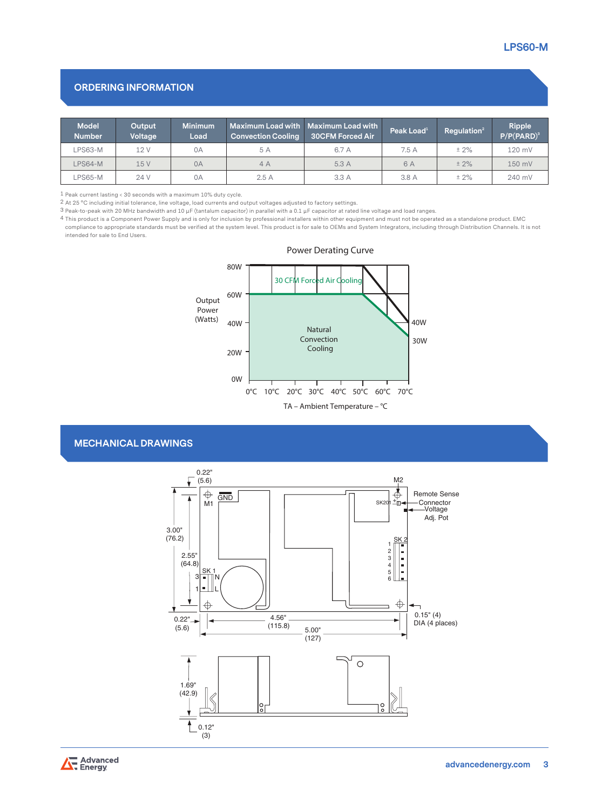## **ORDERING INFORMATION**

| <b>Model</b><br><b>Number</b> | Output<br>Voltage | <b>Minimum</b><br>Load | <b>Convection Cooling</b> | <b>Maximum Load with Maximum Load with</b><br><b>30CFM Forced Air</b> | Peak Load $1$ | Regulation <sup>2</sup> | Ripple<br>$P/P(PARD)^3$ |
|-------------------------------|-------------------|------------------------|---------------------------|-----------------------------------------------------------------------|---------------|-------------------------|-------------------------|
| LPS63-M                       | 12 V              | 0A                     | 5 A                       | 6.7 A                                                                 | 7.5 A         | $± 2\%$                 | 120 mV                  |
| $LPS64-M$                     | 15V               | 0A                     | 4A                        | 5.3A                                                                  | 6 A           | $± 2\%$                 | 150 mV                  |
| <b>PS65-M</b>                 | 24 V              | 0A                     | 2.5A                      | 3.3A                                                                  | 3.8 A         | $± 2\%$                 | 240 mV                  |

1 Peak current lasting < 30 seconds with a maximum 10% duty cycle.

2 At 25 °C including initial tolerance, line voltage, load currents and output voltages adjusted to factory settings.

3 Peak-to-peak with 20 MHz bandwidth and 10 μF (tantalum capacitor) in parallel with a 0.1 μF capacitor at rated line voltage and load ranges.

4 This product is a Component Power Supply and is only for inclusion by professional installers within other equipment and must not be operated as a standalone product. EMC compliance to appropriate standards must be verified at the system level. This product is for sale to OEMs and System Integrators, including through Distribution Channels. It is not intended for sale to End Users.

> **Output Power (Watts)** 0°C 10°C 20°C 30°C 40°C 50°C 60°C 70°C 20W 40W 60W 80W **TA – Ambient Temperature – °C** 0W **Natural Convection Cooling** 40W 30W 30 CFM Forced Air Cooling

**Power Derating Curve**

#### **MECHANICAL DRAWINGS**



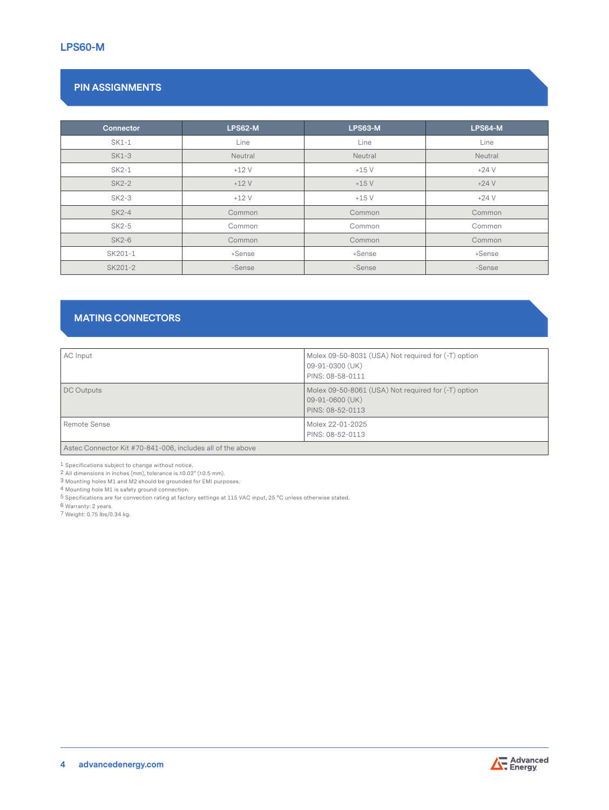# **PIN ASSIGNMENTS**

| Connector    | <b>LPS62-M</b> | <b>LPS63-M</b> | <b>LPS64-M</b> |
|--------------|----------------|----------------|----------------|
| SK1-1        | Line           | Line           | Line           |
| <b>SK1-3</b> | Neutral        | Neutral        | Neutral        |
| SK2-1        | $+12V$         | $+15V$         | $+24V$         |
| <b>SK2-2</b> | $+12V$         | $+15V$         | $+24V$         |
| SK2-3        | $+12V$         | $+15V$         | $+24V$         |
| <b>SK2-4</b> | Common         | Common         | Common         |
| SK2-5        | Common         | Common         | Common         |
| <b>SK2-6</b> | Common         | Common         | Common         |
| SK201-1      | +Sense         | +Sense         | +Sense         |
| SK201-2      | -Sense         | -Sense         | -Sense         |

# **MATING CONNECTORS**

| AC Input          | Molex 09-50-8031 (USA) Not required for (-T) option<br>09-91-0300 (UK)<br>PINS: 08-58-0111 |
|-------------------|--------------------------------------------------------------------------------------------|
| <b>DC Outputs</b> | Molex 09-50-8061 (USA) Not required for (-T) option<br>09-91-0600 (UK)<br>PINS: 08-52-0113 |
| Remote Sense      | Molex 22-01-2025<br>PINS: 08-52-0113                                                       |

Astec Connector Kit #70-841-006, includes all of the above

1 Specifications subject to change without notice.

2 All dimensions in inches (mm), tolerance is ±0.02" (±0.5 mm).

3 Mounting holes M1 and M2 should be grounded for EMI purposes.

4 Mounting hole M1 is safety ground connection.

5 Specifications are for convection rating at factory settings at 115 VAC input, 25 °C unless otherwise stated.

6 Warranty: 2 years.

7 Weight: 0.75 lbs/0.34 kg.